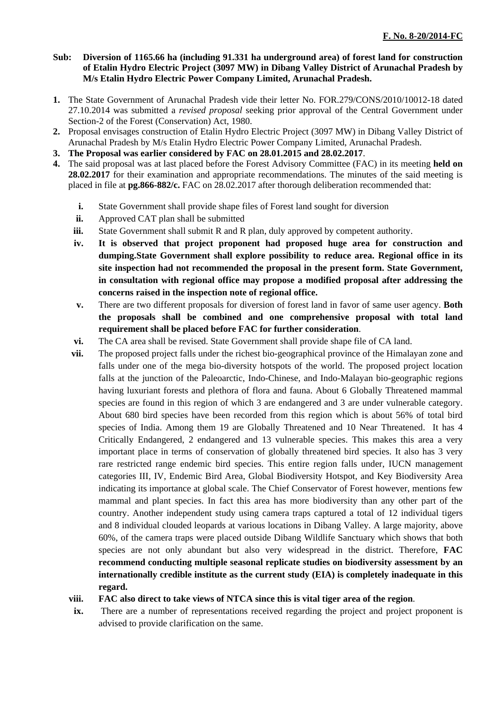## **Sub: Diversion of 1165.66 ha (including 91.331 ha underground area) of forest land for construction of Etalin Hydro Electric Project (3097 MW) in Dibang Valley District of Arunachal Pradesh by M/s Etalin Hydro Electric Power Company Limited, Arunachal Pradesh.**

- **1.** The State Government of Arunachal Pradesh vide their letter No. FOR.279/CONS/2010/10012-18 dated 27.10.2014 was submitted a *revised proposal* seeking prior approval of the Central Government under Section-2 of the Forest (Conservation) Act, 1980.
- **2.** Proposal envisages construction of Etalin Hydro Electric Project (3097 MW) in Dibang Valley District of Arunachal Pradesh by M/s Etalin Hydro Electric Power Company Limited, Arunachal Pradesh.
- **3. The Proposal was earlier considered by FAC on 28.01.2015 and 28.02.2017**.
- placed in file at **pg.866-882/c.** FAC on 28.02.2017 after thorough deliberation recommended that: **4.** The said proposal was at last placed before the Forest Advisory Committee (FAC) in its meeting **held on 28.02.2017** for their examination and appropriate recommendations. The minutes of the said meeting is
	- **i.** State Government shall provide shape files of Forest land sought for diversion
	- **ii.** Approved CAT plan shall be submitted
	- **iii.** State Government shall submit R and R plan, duly approved by competent authority.
	- **iv. It is observed that project proponent had proposed huge area for construction and dumping.State Government shall explore possibility to reduce area. Regional office in its site inspection had not recommended the proposal in the present form. State Government, in consultation with regional office may propose a modified proposal after addressing the concerns raised in the inspection note of regional office.**
	- the proposals shall be combined and one comprehensive proposal with total land **v.** There are two different proposals for diversion of forest land in favor of same user agency. **Both requirement shall be placed before FAC for further consideration**.
	- **vi.** The CA area shall be revised. State Government shall provide shape file of CA land.
	- and 8 individual clouded leopards at various locations in Dibang Valley. A large majority, above **vii.** The proposed project falls under the richest bio-geographical province of the Himalayan zone and falls under one of the mega bio-diversity hotspots of the world. The proposed project location falls at the junction of the Paleoarctic, Indo-Chinese, and Indo-Malayan bio-geographic regions having luxuriant forests and plethora of flora and fauna. About 6 Globally Threatened mammal species are found in this region of which 3 are endangered and 3 are under vulnerable category. About 680 bird species have been recorded from this region which is about 56% of total bird species of India. Among them 19 are Globally Threatened and 10 Near Threatened. It has 4 Critically Endangered, 2 endangered and 13 vulnerable species. This makes this area a very important place in terms of conservation of globally threatened bird species. It also has 3 very rare restricted range endemic bird species. This entire region falls under, IUCN management categories III, IV, Endemic Bird Area, Global Biodiversity Hotspot, and Key Biodiversity Area indicating its importance at global scale. The Chief Conservator of Forest however, mentions few mammal and plant species. In fact this area has more biodiversity than any other part of the country. Another independent study using camera traps captured a total of 12 individual tigers 60%, of the camera traps were placed outside Dibang Wildlife Sanctuary which shows that both species are not only abundant but also very widespread in the district. Therefore, **FAC recommend conducting multiple seasonal replicate studies on biodiversity assessment by an internationally credible institute as the current study (EIA) is completely inadequate in this regard.**
	- **viii. FAC also direct to take views of NTCA since this is vital tiger area of the region**.
	- advised to provide clarification on the same. **ix.** There are a number of representations received regarding the project and project proponent is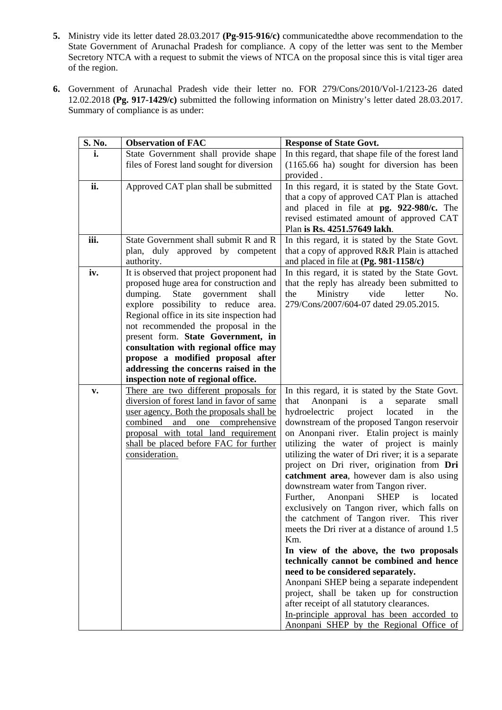- **5.** Ministry vide its letter dated 28.03.2017 **(Pg-915-916/c)** communicatedthe above recommendation to the State Government of Arunachal Pradesh for compliance. A copy of the letter was sent to the Member Secretory NTCA with a request to submit the views of NTCA on the proposal since this is vital tiger area of the region.
- **6.** Government of Arunachal Pradesh vide their letter no. FOR 279/Cons/2010/Vol-1/2123-26 dated 12.02.2018 (Pg. 917-1429/c) submitted the following information on Ministry's letter dated 28.03.2017. Summary of compliance is as under:

| S. No. | <b>Observation of FAC</b>                                                   | <b>Response of State Govt.</b>                                                                  |
|--------|-----------------------------------------------------------------------------|-------------------------------------------------------------------------------------------------|
| i.     | State Government shall provide shape                                        | In this regard, that shape file of the forest land                                              |
|        | files of Forest land sought for diversion                                   | (1165.66 ha) sought for diversion has been<br>provided.                                         |
| ii.    | Approved CAT plan shall be submitted                                        | In this regard, it is stated by the State Govt.                                                 |
|        |                                                                             | that a copy of approved CAT Plan is attached                                                    |
|        |                                                                             | and placed in file at pg. 922-980/c. The                                                        |
|        |                                                                             | revised estimated amount of approved CAT                                                        |
| iii.   | State Government shall submit R and R                                       | Plan is Rs. 4251.57649 lakh.<br>In this regard, it is stated by the State Govt.                 |
|        | plan, duly approved by competent                                            | that a copy of approved R&R Plain is attached                                                   |
|        | authority.                                                                  | and placed in file at (Pg. 981-1158/c)                                                          |
| iv.    | It is observed that project proponent had                                   | In this regard, it is stated by the State Govt.                                                 |
|        | proposed huge area for construction and                                     | that the reply has already been submitted to                                                    |
|        | dumping.<br>State<br>government<br>shall                                    | letter<br>Ministry<br>vide<br>the<br>No.                                                        |
|        | explore possibility to reduce<br>area.                                      | 279/Cons/2007/604-07 dated 29.05.2015.                                                          |
|        | Regional office in its site inspection had                                  |                                                                                                 |
|        | not recommended the proposal in the                                         |                                                                                                 |
|        | present form. State Government, in<br>consultation with regional office may |                                                                                                 |
|        | propose a modified proposal after                                           |                                                                                                 |
|        | addressing the concerns raised in the                                       |                                                                                                 |
|        | inspection note of regional office.                                         |                                                                                                 |
| v.     | There are two different proposals for                                       | In this regard, it is stated by the State Govt.                                                 |
|        | diversion of forest land in favor of same                                   | Anonpani<br>that<br>is<br>a<br>separate<br>small                                                |
|        | user agency. Both the proposals shall be                                    | hydroelectric<br>project<br>located<br>the<br>in                                                |
|        | combined and one comprehensive<br>proposal with total land requirement      | downstream of the proposed Tangon reservoir<br>on Anonpani river. Etalin project is mainly      |
|        | shall be placed before FAC for further                                      | utilizing the water of project is mainly                                                        |
|        | consideration.                                                              | utilizing the water of Dri river; it is a separate                                              |
|        |                                                                             | project on Dri river, origination from Dri                                                      |
|        |                                                                             | catchment area, however dam is also using                                                       |
|        |                                                                             | downstream water from Tangon river.                                                             |
|        |                                                                             | Anonpani<br><b>SHEP</b><br>Further,<br>is<br>located                                            |
|        |                                                                             | exclusively on Tangon river, which falls on                                                     |
|        |                                                                             | the catchment of Tangon river.<br>This river<br>meets the Dri river at a distance of around 1.5 |
|        |                                                                             | Km.                                                                                             |
|        |                                                                             | In view of the above, the two proposals                                                         |
|        |                                                                             | technically cannot be combined and hence                                                        |
|        |                                                                             | need to be considered separately.                                                               |
|        |                                                                             | Anonpani SHEP being a separate independent                                                      |
|        |                                                                             | project, shall be taken up for construction                                                     |
|        |                                                                             | after receipt of all statutory clearances.                                                      |
|        |                                                                             | In-principle approval has been accorded to                                                      |
|        |                                                                             | Anonpani SHEP by the Regional Office of                                                         |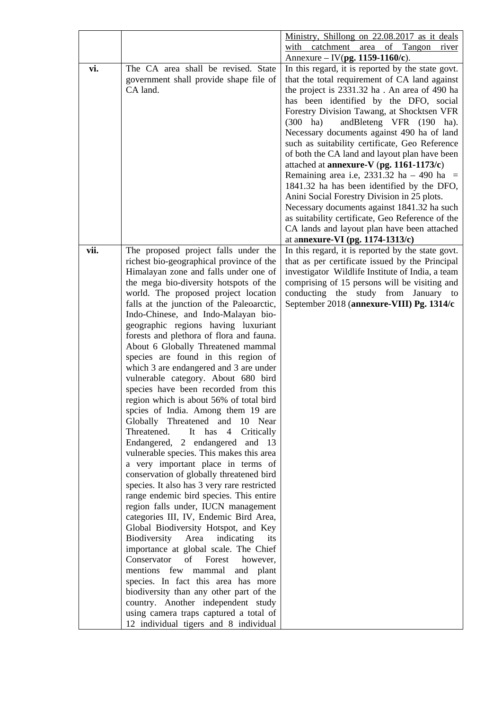|      |                                                                                           | Ministry, Shillong on 22.08.2017 as it deals                                          |
|------|-------------------------------------------------------------------------------------------|---------------------------------------------------------------------------------------|
|      |                                                                                           | with catchment<br>area of Tangon<br>river                                             |
|      |                                                                                           | Annexure – IV(pg. 1159-1160/c).                                                       |
| vi.  | The CA area shall be revised. State                                                       | In this regard, it is reported by the state govt.                                     |
|      | government shall provide shape file of                                                    | that the total requirement of CA land against                                         |
|      | CA land.                                                                                  | the project is 2331.32 ha. An area of 490 ha                                          |
|      |                                                                                           | has been identified by the DFO, social                                                |
|      |                                                                                           | Forestry Division Tawang, at Shocktsen VFR                                            |
|      |                                                                                           | andBleteng VFR (190 ha).<br>$(300 \text{ ha})$                                        |
|      |                                                                                           | Necessary documents against 490 ha of land                                            |
|      |                                                                                           | such as suitability certificate, Geo Reference                                        |
|      |                                                                                           | of both the CA land and layout plan have been                                         |
|      |                                                                                           | attached at <b>annexure-V</b> (pg. $1161-1173/c$ )                                    |
|      |                                                                                           | Remaining area i.e, 2331.32 ha $-490$ ha $=$                                          |
|      |                                                                                           | 1841.32 ha has been identified by the DFO,                                            |
|      |                                                                                           | Anini Social Forestry Division in 25 plots.                                           |
|      |                                                                                           | Necessary documents against 1841.32 ha such                                           |
|      |                                                                                           | as suitability certificate, Geo Reference of the                                      |
|      |                                                                                           | CA lands and layout plan have been attached                                           |
|      |                                                                                           |                                                                                       |
| vii. | The proposed project falls under the                                                      | at annexure-VI (pg. 1174-1313/c)<br>In this regard, it is reported by the state govt. |
|      | richest bio-geographical province of the                                                  | that as per certificate issued by the Principal                                       |
|      | Himalayan zone and falls under one of                                                     | investigator Wildlife Institute of India, a team                                      |
|      | the mega bio-diversity hotspots of the                                                    | comprising of 15 persons will be visiting and                                         |
|      | world. The proposed project location                                                      | conducting the study from January to                                                  |
|      | falls at the junction of the Paleoarctic,                                                 | September 2018 (annexure-VIII) Pg. 1314/c                                             |
|      | Indo-Chinese, and Indo-Malayan bio-                                                       |                                                                                       |
|      | geographic regions having luxuriant                                                       |                                                                                       |
|      | forests and plethora of flora and fauna.                                                  |                                                                                       |
|      | About 6 Globally Threatened mammal                                                        |                                                                                       |
|      | species are found in this region of                                                       |                                                                                       |
|      | which 3 are endangered and 3 are under                                                    |                                                                                       |
|      | vulnerable category. About 680 bird                                                       |                                                                                       |
|      | species have been recorded from this                                                      |                                                                                       |
|      | region which is about 56% of total bird                                                   |                                                                                       |
|      | spcies of India. Among them 19 are                                                        |                                                                                       |
|      |                                                                                           |                                                                                       |
|      | Globally Threatened and 10 Near<br>Threatened.<br>It has<br>$4\overline{ }$<br>Critically |                                                                                       |
|      |                                                                                           |                                                                                       |
|      | Endangered, 2 endangered and 13                                                           |                                                                                       |
|      | vulnerable species. This makes this area<br>a very important place in terms of            |                                                                                       |
|      | conservation of globally threatened bird                                                  |                                                                                       |
|      | species. It also has 3 very rare restricted                                               |                                                                                       |
|      | range endemic bird species. This entire                                                   |                                                                                       |
|      |                                                                                           |                                                                                       |
|      | region falls under, IUCN management                                                       |                                                                                       |
|      | categories III, IV, Endemic Bird Area,                                                    |                                                                                       |
|      | Global Biodiversity Hotspot, and Key                                                      |                                                                                       |
|      | Biodiversity Area<br>indicating<br>its                                                    |                                                                                       |
|      | importance at global scale. The Chief<br>Conservator<br>of<br>Forest                      |                                                                                       |
|      | however,                                                                                  |                                                                                       |
|      | mentions few mammal<br>and plant                                                          |                                                                                       |
|      | species. In fact this area has more                                                       |                                                                                       |
|      | biodiversity than any other part of the                                                   |                                                                                       |
|      | country. Another independent study                                                        |                                                                                       |
|      | using camera traps captured a total of                                                    |                                                                                       |
|      | 12 individual tigers and 8 individual                                                     |                                                                                       |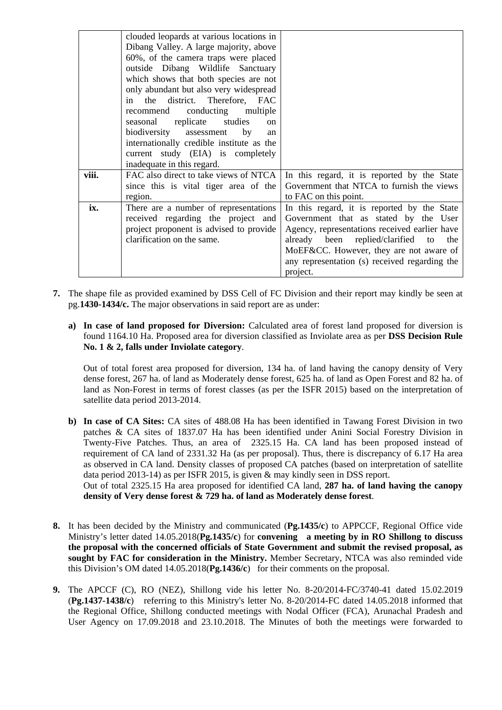|       | clouded leopards at various locations in    |                                               |
|-------|---------------------------------------------|-----------------------------------------------|
|       | Dibang Valley. A large majority, above      |                                               |
|       | 60%, of the camera traps were placed        |                                               |
|       | outside Dibang Wildlife Sanctuary           |                                               |
|       | which shows that both species are not       |                                               |
|       | only abundant but also very widespread      |                                               |
|       | the district. Therefore, FAC<br>in          |                                               |
|       | conducting multiple<br>recommend            |                                               |
|       | seasonal replicate studies<br><sub>on</sub> |                                               |
|       | biodiversity assessment<br>by<br>an         |                                               |
|       | internationally credible institute as the   |                                               |
|       | current study (EIA) is completely           |                                               |
|       | inadequate in this regard.                  |                                               |
| viii. | FAC also direct to take views of NTCA       | In this regard, it is reported by the State   |
|       | since this is vital tiger area of the       | Government that NTCA to furnish the views     |
|       | region.                                     | to FAC on this point.                         |
| ix.   | There are a number of representations       | In this regard, it is reported by the State   |
|       | received regarding the project and          | Government that as stated by the User         |
|       | project proponent is advised to provide     | Agency, representations received earlier have |
|       | clarification on the same.                  | already been replied/clarified<br>the<br>to   |
|       |                                             | MoEF&CC. However, they are not aware of       |
|       |                                             | any representation (s) received regarding the |
|       |                                             | project.                                      |

- **7.** The shape file as provided examined by DSS Cell of FC Division and their report may kindly be seen at pg.**1 430-1434/c.** The major observations in said report are as under:
	- **a) In case of land proposed for Diversion:** Calculated area of forest land proposed for diversion is found 1164.10 Ha. Proposed area for diversion classified as Inviolate area as per **DSS Decision Rule No. 1 & 2, falls under Inviolate category**.

land as Non-Forest in terms of forest classes (as per the ISFR 2015) based on the interpretation of satellite data period 2013-2014. Out of total forest area proposed for diversion, 134 ha. of land having the canopy density of Very dense forest, 267 ha. of land as Moderately dense forest, 625 ha. of land as Open Forest and 82 ha. of

- requirement of CA land of 2331.32 Ha (as per proposal). Thus, there is discrepancy of 6.17 Ha area as observed in CA land. Density classes of proposed CA patches (based on interpretation of satellite **b) In case of CA Sites:** CA sites of 488.08 Ha has been identified in Tawang Forest Division in two patches & CA sites of 1837.07 Ha has been identified under Anini Social Forestry Division in Twenty-Five Patches. Thus, an area of 2325.15 Ha. CA land has been proposed instead of data period 2013-14) as per ISFR 2015, is given & may kindly seen in DSS report. Out of total 2325.15 Ha area proposed for identified CA land, **287 ha. of land having the canopy density of Very dense forest & 729 ha. of land as Moderately dense forest**.
- **8.** It has been decided by the Ministry and communicated (**Pg.1435/c**) to APPCCF, Regional Office vide
- this Division's OM dated 14.05.2018(Pg.1436/c) for their comments on the proposal. Ministry's letter dated 14.05.2018(**Pg.1435/c**) for **convening a meeting by in RO Shillong to discuss the proposal with the concerned officials of State Government and submit the revised proposal, as sought by FAC for consideration in the Ministry.** Member Secretary, NTCA was also reminded vide
- **9.** The APCCF (C), RO (NEZ), Shillong vide his letter No. 8-20/2014-FC/3740-41 dated 15.02.2019 (**Pg.1437-1438/c**) referring to this Ministry's letter No. 8-20/2014-FC dated 14.05.2018 informed that the Regional Office, Shillong conducted meetings with Nodal Officer (FCA), Arunachal Pradesh and User Agency on 17.09.2018 and 23.10.2018. The Minutes of both the meetings were forwarded to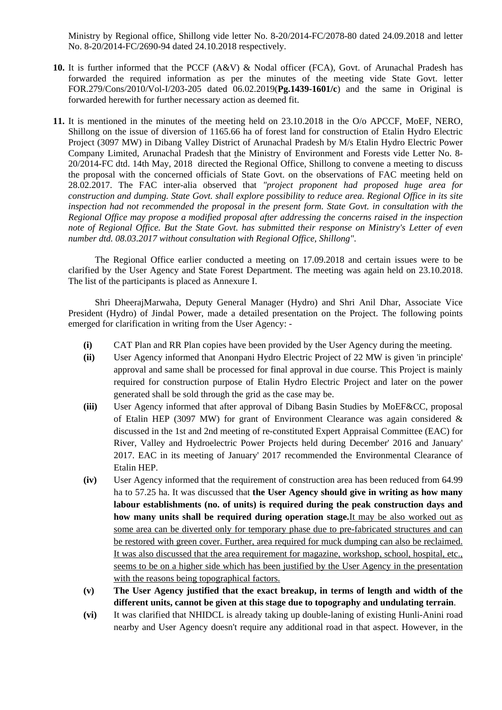Ministry by Regional office, Shillong vide letter No. 8-20/2014-FC/2078-80 dated 24.09.2018 and letter No. 8-20/2014-FC/2690-94 dated 24.10.2018 respectively.

- **10.** It is further informed that the PCCF (A&V) & Nodal officer (FCA), Govt. of Arunachal Pradesh has forwarded the required information as per the minutes of the meeting vide State Govt. letter FOR 2 . 79/Cons/2010/Vol-I/203-205 dated 06.02.2019(**Pg.1439-1601/c**) and the same in Original is forwarded herewith for further necessary action as deemed fit.
- 11. It is mentioned in the minutes of the meeting held on 23.10.2018 in the O/o APCCF, MoEF, NERO, Shillong on the issue of diversion of 1165.66 ha of forest land for construction of Etalin Hydro Electric Project (3097 MW) in Dibang Valley District of Arunachal Pradesh by M/s Etalin Hydro Electric Power Company Limited, Arunachal Pradesh that the Ministry of Environment and Forests vide Letter No. 8- 20/2014-FC dtd. 14th May, 2018 directed the Regional Office, Shillong to convene a meeting to discuss the proposal with the concerned officials of State Govt. on the observations of FAC meeting held on inspection had not recommended the proposal in the present form. State Govt. in consultation with the *Re gional Office may propose a modified proposal after addressing the concerns raised in the inspection note of Regional Office. But the State Govt. has submitted their response on Ministry's Letter of even*  28.02.2017. The FAC inter-alia observed that *"project proponent had proposed huge area for construction and dumping. State Govt. shall explore possibility to reduce area. Regional Office in its site number dtd. 08.03.2017 without consultation with Regional Office, Shillong"*.

clarified by the User Agency and State Forest Department. The meeting was again held on 23.10.2018. Th e list of the participants is placed as Annexure I. The Regional Office earlier conducted a meeting on 17.09.2018 and certain issues were to be

Pre sident (Hydro) of Jindal Power, made a detailed presentation on the Project. The following points em erged for clarification in writing from the User Agency: - Shri DheerajMarwaha, Deputy General Manager (Hydro) and Shri Anil Dhar, Associate Vice

- **(i)** CAT Plan and RR Plan copies have been provided by the User Agency during the meeting.
- **(ii)** User Agency informed that Anonpani Hydro Electric Project of 22 MW is given 'in principle' approval and same shall be processed for final approval in due course. This Project is mainly required for construction purpose of Etalin Hydro Electric Project and later on the power generated shall be sold through the grid as the case may be.
- **(iii)** User Agency informed that after approval of Dibang Basin Studies by MoEF&CC, proposal of Etalin HEP (3097 MW) for grant of Environment Clearance was again considered & discussed in the 1st and 2nd meeting of re-constituted Expert Appraisal Committee (EAC) for River, Valley and Hydroelectric Power Projects held during December' 2016 and January' 2017. EAC in its meeting of January' 2017 recommended the Environmental Clearance of Etalin HEP.
- labour establishments (no. of units) is required during the peak construction days and **(iv)** User Agency informed that the requirement of construction area has been reduced from 64.99 ha to 57.25 ha. It was discussed that **the User Agency should give in writing as how many how many units shall be required during operation stage.**It may be also worked out as some area can be diverted only for temporary phase due to pre-fabricated structures and can be restored with green cover. Further, area required for muck dumping can also be reclaimed. It was also discussed that the area requirement for magazine, workshop, school, hospital, etc., seems to be on a higher side which has been justified by the User Agency in the presentation with the reasons being topographical factors.
- **(v) The User Agency justified that the exact breakup, in terms of length and width of the different units, cannot be given at this stage due to topography and undulating terrain**.
- **(vi)** It was clarified that NHIDCL is already taking up double-laning of existing Hunli-Anini road nearby and User Agency doesn't require any additional road in that aspect. However, in the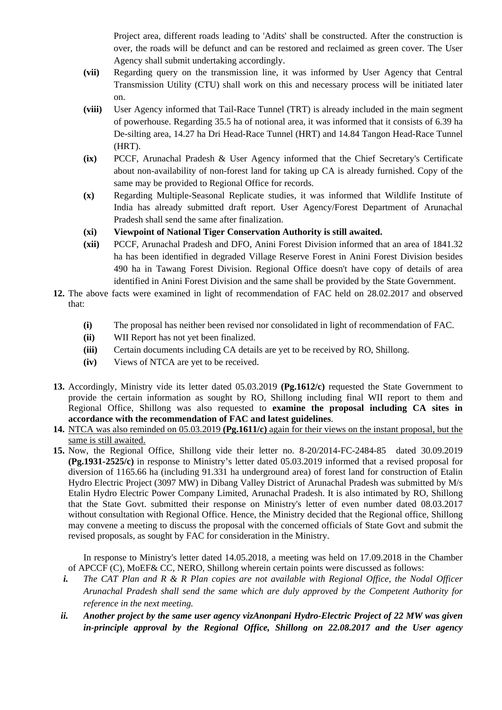Project area, different roads leading to 'Adits' shall be constructed. After the construction is over, the roads will be defunct and can be restored and reclaimed as green cover. The User Agency shall submit undertaking accordingly.

- (vii) Regarding query on the transmission line, it was informed by User Agency that Central on. Transmission Utility (CTU) shall work on this and necessary process will be initiated later
- **(viii)** User Agency informed that Tail-Race Tunnel (TRT) is already included in the main segment of powerhouse. Regarding 35.5 ha of notional area, it was informed that it consists of 6.39 ha De-silting area, 14.27 ha Dri Head-Race Tunnel (HRT) and 14.84 Tangon Head-Race Tunnel (HRT).
- (ix) PCCF, Arunachal Pradesh & User Agency informed that the Chief Secretary's Certificate about non-availability of non-forest land for taking up CA is already furnished. Copy of the same may be provided to Regional Office for records.
- **(x)** Regarding Multiple-Seasonal Replicate studies, it was informed that Wildlife Institute of India has already submitted draft report. User Agency/Forest Department of Arunachal Pradesh shall send the same after finalization.
- **(xi) Viewpoint of National Tiger Conservation Authority is still awaited.**
- (xii) PCCF, Arunachal Pradesh and DFO, Anini Forest Division informed that an area of 1841.32 490 ha in Tawang Forest Division. Regional Office doesn't have copy of details of area ha has been identified in degraded Village Reserve Forest in Anini Forest Division besides identified in Anini Forest Division and the same shall be provided by the State Government.
- **12.** The above facts were examined in light of recommendation of FAC held on 28.02.2017 and observed that:
	- **(i)** The proposal has neither been revised nor consolidated in light of recommendation of FAC.
	- **(ii)** WII Report has not yet been finalized.
	- **(iii)** Certain documents including CA details are yet to be received by RO, Shillong.
	- **(iv)** Views of NTCA are yet to be received.
- **13.** Accordingly, Ministry vide its letter dated 05.03.2019 **(Pg.1612/c)** requested the State Government to provide the certain information as sought by RO, Shillong including final WII report to them and Regional Office, Shillong was also requested to **examine the proposal including CA sites in accordance with the recommendation of FAC and latest guidelines**.
- **14.** NTCA was also reminded on 05.03.2019 **(Pg.1611/c)** again for their views on the instant proposal, but the same is still awaited.
- **15.** Now, the Regional Office, Shillong vide their letter no. 8-20/2014-FC-2484-85 dated 30. 09.2019 **(Pg.1931-2525/c)** in response to Ministry's letter dated 05.03.2019 informed that a revised prop osal for Hydro Electric Project (3097 MW) in Dibang Valley District of Arunachal Pradesh was submitted by M/s that the State Govt. submitted their response on Ministry's letter of even number dated 08.03.2017 may convene a meeting to discuss the proposal with the concerned officials of State Govt and submit the diversion of 1165.66 ha (including 91.331 ha underground area) of forest land for construction of Etalin Etalin Hydro Electric Power Company Limited, Arunachal Pradesh. It is also intimated by RO, Shillong without consultation with Regional Office. Hence, the Ministry decided that the Regional office, Shillong revised proposals, as sought by FAC for consideration in the Ministry.

In response to Ministry's letter dated 14.05.2018, a meeting was held on 17.09.2018 in the Chamber of APCCF (C), MoEF& CC, NERO, Shillong wherein certain points were discussed as follows:

- *i.* The CAT Plan and R & R Plan copies are not available with Regional Office, the Nodal Officer Arunachal Pradesh shall send the same which are duly approved by the Competent Authority for *reference in the next meeting.*
- *in-principle approval by the Regional Office, Shillong on 22.08.2017 and the User agency ii. Another project by the same user agency vizAnonpani Hydro-Electric Project of 22 MW was given*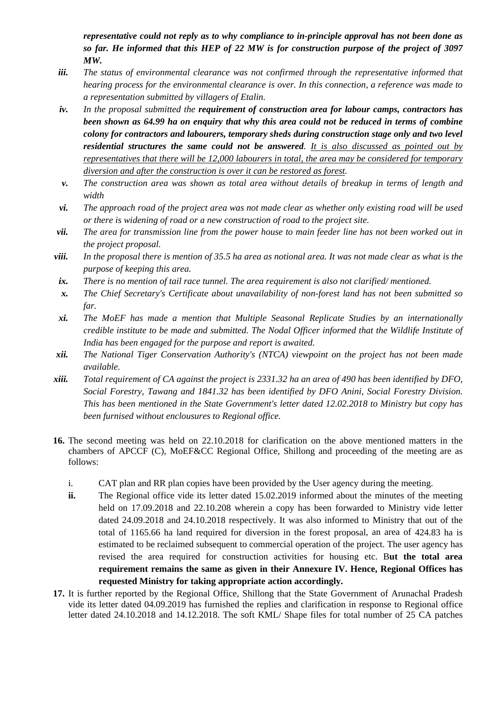*representative could not reply as to why compliance to in-principle approval has not been done as so far. He informed that this HEP of 22 MW is for construction purpose of the project of 3097 W. M*

- hearing process for the environmental clearance is over. In this connection, a reference was made to *iii. The status of environmental clearance was not confirmed through the representative informed that a representation submitted by villagers of Etalin.*
- *iv. In the proposal submitted the requirement of construction area for labour camps, contractors has been shown as 64.99 ha on enquiry that why this area could not be reduced in terms of combine colony for contractors and labourers, temporary sheds during construction stage only and two level residential structures the same could not be answered. It is also discussed as pointed out by representatives that there will be 12,000 labourers in total, the area may be considered for temporary diversion and after the construction is over it can be restored as forest.*
- *v. The construction area was shown as total area without details of breakup in terms of length and width*
- *vi. The approach road of the project area was not made clear as whether only existing road will be used or there is widening of road or a new construction of road to the project site.*
- *vii. The area for transmission line from the power house to main feeder line has not been worked out in the project proposal.*
- *In the proposal there is mention of 35.5 ha area as notional area. It was not made clear as what is the viii. purpose of keeping this area.*
- *ix.* There is no mention of tail race tunnel. The area requirement is also not clarified/ mentioned.
- **x.** The Chief Secretary's Certificate about unavailability of non-forest land has not been submitted so *far.*
- *xi.* The MoEF has made a mention that Multiple Seasonal Replicate Studies by an internationally credible institute to be made and submitted. The Nodal Officer informed that the Wildlife Institute of *India has been engaged for the purpose and report is awaited.*
- *xii.* The National Tiger Conservation Authority's (NTCA) viewpoint on the project has not been made *available.*
- *xiii. Total requirement of CA against the project is 2331.32 ha an area of 490 ha s been identified by DFO,*  Social Forestry, Tawang and 1841.32 has been identified by DFO Anini, Social Forestry Division. *This has been mentioned in the State Government's letter dated 12.02.2018 to Ministry but copy has been furnised without enclousures to Regional office.*
- 16. The second meeting was held on 22.10.2018 for clarification on the above mentioned matters in the chambers of APCCF (C), MoEF&CC Regional Office, Shillong and proceeding of the meeting are as follows:
	- i. CAT plan and RR plan copies have been provided by the User agency during the meeting.
	- ii. The Regional office vide its letter dated 15.02.2019 informed about the minutes of the meeting held on 17.09.2018 and 22.10.208 wherein a copy has been forwarded to Ministry vide letter dated 24.09.2018 and 24.10.2018 respectively. It was also informed to Ministry that out of the total of 1165.66 ha land required for diversion in the forest proposal, an area of 424.83 ha is estimated to be reclaimed subsequent to commercial operation of the project. The user agency has revised the area required for construction activities for housing etc. But the total area **requirement remains the same as given in their Annexure IV. Hen ce, Regional Offices has**  requested Ministry for taking appropriate action accordingly.
- 17. It is further reported by the Regional Office, Shillong that the State Government of Arunachal Pradesh vide its letter dated 04.09.2019 has furnished the replies and clarification in re sponse to Regional office letter dated 24.10.2018 and 14.12.2018. The soft KML/ Shape files for total n umber of 25 CA patches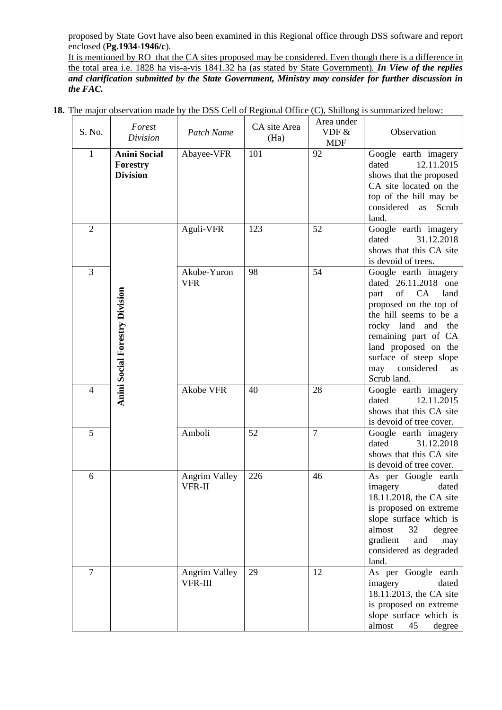proposed by State Govt have also been examined in this Regional office through DSS software and report enclosed (**Pg.1934-1946/c**).

It is mentioned by RO that the CA sites proposed may be considered. Even though there is a difference in the total area i.e. 1828 ha vis-a-vis 1841.32 ha (as stated by State Government)*. In View of the replies*  and clarification submitted by the State Government, Ministry may consider for further discussion in *the FAC.* 

|  |  |              | <b>18.</b> The major observation made by the DSS Cell of Regional Office (C), Shillong is summarized below: |
|--|--|--------------|-------------------------------------------------------------------------------------------------------------|
|  |  | $Area$ under |                                                                                                             |

| S. No.         | Forest<br>Division                                 | Patch Name                            | CA site Area<br>(Ha) | Area under<br>VDF &<br><b>MDF</b> | Observation                                                                                                                                                                                                                                                                |
|----------------|----------------------------------------------------|---------------------------------------|----------------------|-----------------------------------|----------------------------------------------------------------------------------------------------------------------------------------------------------------------------------------------------------------------------------------------------------------------------|
| $\mathbf{1}$   | <b>Anini Social</b><br>Forestry<br><b>Division</b> | Abayee-VFR                            | 101                  | 92                                | Google earth imagery<br>dated<br>12.11.2015<br>shows that the proposed<br>CA site located on the<br>top of the hill may be<br>considered as<br>Scrub<br>land.                                                                                                              |
| $\overline{2}$ |                                                    | Aguli-VFR                             | 123                  | 52                                | Google earth imagery<br>dated<br>31.12.2018<br>shows that this CA site<br>is devoid of trees.                                                                                                                                                                              |
| 3              | Anini Social Forestry Division                     | Akobe-Yuron<br><b>VFR</b>             | 98                   | 54                                | Google earth imagery<br>dated 26.11.2018 one<br>of CA<br>land<br>part<br>proposed on the top of<br>the hill seems to be a<br>rocky land and the<br>remaining part of CA<br>land proposed on the<br>surface of steep slope<br>considered<br>may<br><b>as</b><br>Scrub land. |
| $\overline{4}$ |                                                    | Akobe VFR                             | 40                   | 28                                | Google earth imagery<br>12.11.2015<br>dated<br>shows that this CA site<br>is devoid of tree cover.                                                                                                                                                                         |
| 5              |                                                    | Amboli                                | 52                   | $\overline{7}$                    | Google earth imagery<br>dated<br>31.12.2018<br>shows that this CA site<br>is devoid of tree cover.                                                                                                                                                                         |
| 6              |                                                    | <b>Angrim Valley</b><br><b>VFR-II</b> | 226                  | 46                                | As per Google earth<br>imagery<br>dated<br>18.11.2018, the CA site<br>is proposed on extreme<br>slope surface which is<br>almost<br>32<br>degree<br>gradient<br>and<br>may<br>considered as degraded<br>land.                                                              |
| $\overline{7}$ |                                                    | Angrim Valley<br>VFR-III              | 29                   | 12                                | As per Google earth<br>dated<br>imagery<br>18.11.2013, the CA site<br>is proposed on extreme<br>slope surface which is<br>almost<br>45<br>degree                                                                                                                           |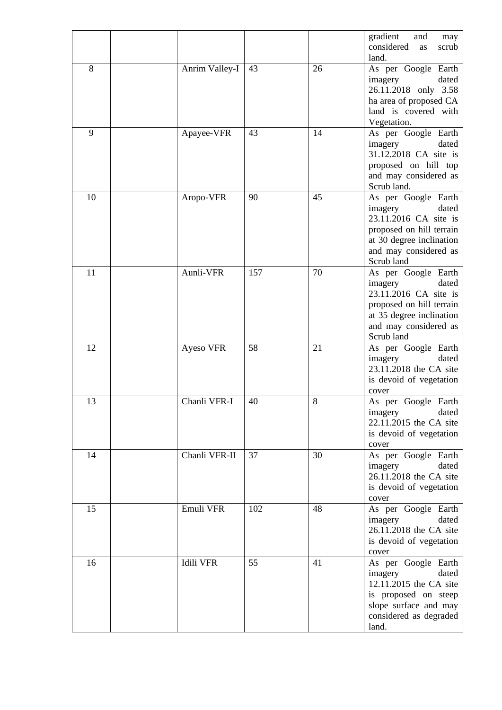|    |                  |     |    | gradient<br>and<br>may<br>considered<br>scrub<br>as                                                                                                             |
|----|------------------|-----|----|-----------------------------------------------------------------------------------------------------------------------------------------------------------------|
| 8  | Anrim Valley-I   | 43  | 26 | land.<br>As per Google Earth<br>imagery<br>dated<br>26.11.2018 only 3.58<br>ha area of proposed CA<br>land is covered with<br>Vegetation.                       |
| 9  | Apayee-VFR       | 43  | 14 | As per Google Earth<br>dated<br>imagery<br>31.12.2018 CA site is<br>proposed on hill top<br>and may considered as<br>Scrub land.                                |
| 10 | Aropo-VFR        | 90  | 45 | As per Google Earth<br>imagery<br>dated<br>23.11.2016 CA site is<br>proposed on hill terrain<br>at 30 degree inclination<br>and may considered as<br>Scrub land |
| 11 | Aunli-VFR        | 157 | 70 | As per Google Earth<br>dated<br>imagery<br>23.11.2016 CA site is<br>proposed on hill terrain<br>at 35 degree inclination<br>and may considered as<br>Scrub land |
| 12 | Ayeso VFR        | 58  | 21 | As per Google Earth<br>dated<br>imagery<br>23.11.2018 the CA site<br>is devoid of vegetation<br>cover                                                           |
| 13 | Chanli VFR-I     | 40  | 8  | As per Google Earth<br>dated<br>imagery<br>22.11.2015 the CA site<br>is devoid of vegetation<br>cover                                                           |
| 14 | Chanli VFR-II    | 37  | 30 | As per Google Earth<br>dated<br>imagery<br>26.11.2018 the CA site<br>is devoid of vegetation<br>cover                                                           |
| 15 | Emuli VFR        | 102 | 48 | As per Google Earth<br>dated<br>imagery<br>26.11.2018 the CA site<br>is devoid of vegetation<br>cover                                                           |
| 16 | <b>Idili VFR</b> | 55  | 41 | As per Google Earth<br>dated<br>imagery<br>12.11.2015 the CA site<br>is proposed on steep<br>slope surface and may<br>considered as degraded<br>land.           |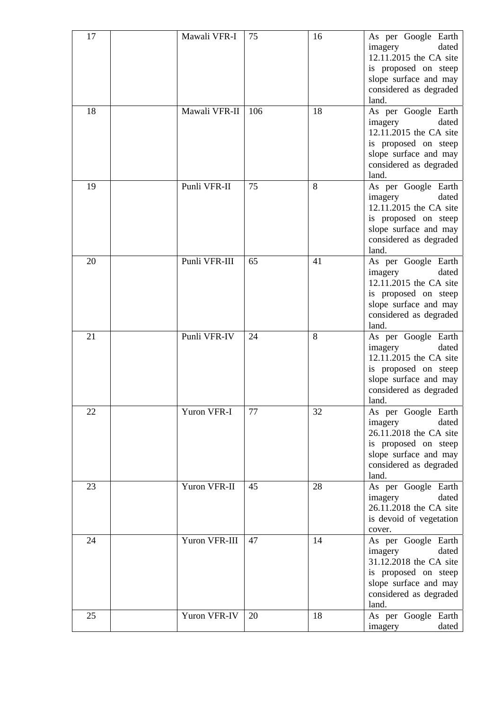| 17 | Mawali VFR-I  | 75  | 16 | As per Google Earth<br>imagery<br>dated<br>12.11.2015 the CA site<br>is proposed on steep<br>slope surface and may<br>considered as degraded<br>land. |
|----|---------------|-----|----|-------------------------------------------------------------------------------------------------------------------------------------------------------|
| 18 | Mawali VFR-II | 106 | 18 | As per Google Earth<br>imagery<br>dated<br>12.11.2015 the CA site<br>is proposed on steep<br>slope surface and may<br>considered as degraded<br>land. |
| 19 | Punli VFR-II  | 75  | 8  | As per Google Earth<br>dated<br>imagery<br>12.11.2015 the CA site<br>is proposed on steep<br>slope surface and may<br>considered as degraded<br>land. |
| 20 | Punli VFR-III | 65  | 41 | As per Google Earth<br>dated<br>imagery<br>12.11.2015 the CA site<br>is proposed on steep<br>slope surface and may<br>considered as degraded<br>land. |
| 21 | Punli VFR-IV  | 24  | 8  | As per Google Earth<br>dated<br>imagery<br>12.11.2015 the CA site<br>is proposed on steep<br>slope surface and may<br>considered as degraded<br>land. |
| 22 | Yuron VFR-I   | 77  | 32 | As per Google Earth<br>dated<br>imagery<br>26.11.2018 the CA site<br>is proposed on steep<br>slope surface and may<br>considered as degraded<br>land. |
| 23 | Yuron VFR-II  | 45  | 28 | As per Google Earth<br>imagery<br>dated<br>26.11.2018 the CA site<br>is devoid of vegetation<br>cover.                                                |
| 24 | Yuron VFR-III | 47  | 14 | As per Google Earth<br>dated<br>imagery<br>31.12.2018 the CA site<br>is proposed on steep<br>slope surface and may<br>considered as degraded<br>land. |
| 25 | Yuron VFR-IV  | 20  | 18 | As per Google Earth<br>dated<br>imagery                                                                                                               |